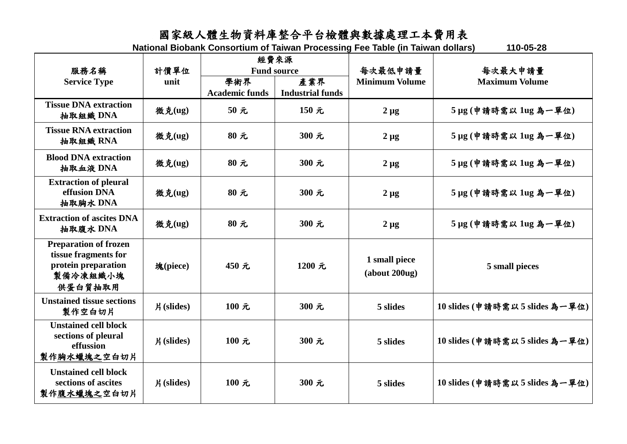## 國家級人體生物資料庫整合平台檢體與數據處理工本費用表

**National Biobank Consortium of Taiwan Processing Fee Table (in Taiwan dollars) 110-05-28**

|                                                                                                    | 計價單位<br>unit | 經費來源<br><b>Fund source</b>   |                                |                                  |                                  |
|----------------------------------------------------------------------------------------------------|--------------|------------------------------|--------------------------------|----------------------------------|----------------------------------|
| 服務名稱<br><b>Service Type</b>                                                                        |              | 學術界<br><b>Academic funds</b> | 產業界<br><b>Industrial funds</b> | 每次最低申請量<br><b>Minimum Volume</b> | 每次最大申請量<br><b>Maximum Volume</b> |
| <b>Tissue DNA extraction</b><br>抽取組織 DNA                                                           | 微克(ug)       | 50元                          | 150元                           | $2 \mu g$                        | 5 µg (申請時需以 1ug 為一單位)            |
| <b>Tissue RNA extraction</b><br>抽取組織 RNA                                                           | 微克(ug)       | 80元                          | 300 元                          | $2 \mu g$                        | 5 µg (申請時需以 1ug 為一單位)            |
| <b>Blood DNA extraction</b><br>抽取血液 DNA                                                            | 微克(ug)       | 80元                          | 300 元                          | $2 \mu g$                        | 5 µg (申請時需以 1ug 為一單位)            |
| <b>Extraction of pleural</b><br>effusion DNA<br>抽取胸水 DNA                                           | 微克(ug)       | $80$ 元                       | 300 元                          | $2 \mu g$                        | 5 µg (申請時需以 1ug 為一單位)            |
| <b>Extraction of ascites DNA</b><br>抽取腹水 DNA                                                       | 微克(ug)       | 80元                          | 300 元                          | $2 \mu g$                        | 5 µg (申請時需以 1ug 為一單位)            |
| <b>Preparation of frozen</b><br>tissue fragments for<br>protein preparation<br>製備冷凍組織小塊<br>供蛋白質抽取用 | 塊(piece)     | 450元                         | 1200 元                         | 1 small piece<br>(about 200ug)   | 5 small pieces                   |
| <b>Unstained tissue sections</b><br>製作空白切片                                                         | $H$ (slides) | 100 元                        | 300 元                          | 5 slides                         | 10 slides (申請時需以5 slides為一單位)    |
| <b>Unstained cell block</b><br>sections of pleural<br>effussion<br>製作胸水蠟塊之空白切片                     | 片(slides)    | 100 元                        | 300 元                          | 5 slides                         | 10 slides (申請時需以5 slides為一單位)    |
| <b>Unstained cell block</b><br>sections of ascites<br>製作腹水蠟塊之空白切片                                  | $H$ (slides) | 100 元                        | 300 元                          | 5 slides                         | 10 slides (申請時需以5 slides為一單位)    |